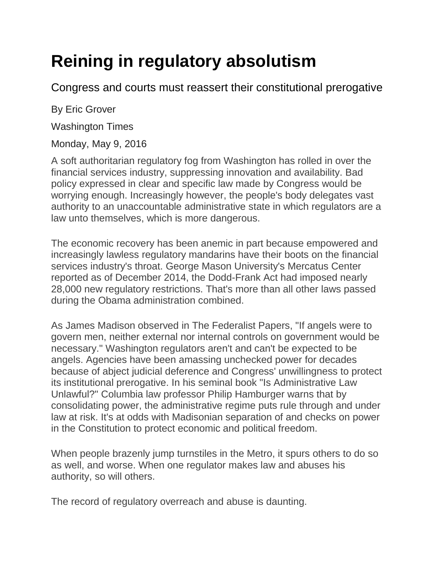## **Reining in regulatory absolutism**

Congress and courts must reassert their constitutional prerogative

By Eric Grover

Washington Times

Monday, May 9, 2016

A soft authoritarian regulatory fog from Washington has rolled in over the financial services industry, suppressing innovation and availability. Bad policy expressed in clear and specific law made by Congress would be worrying enough. Increasingly however, the people's body delegates vast authority to an unaccountable administrative state in which regulators are a law unto themselves, which is more dangerous.

The economic recovery has been anemic in part because empowered and increasingly lawless regulatory mandarins have their boots on the financial services industry's throat. George Mason University's Mercatus Center reported as of December 2014, the Dodd-Frank Act had imposed nearly 28,000 new regulatory restrictions. That's more than all other laws passed during the Obama administration combined.

As James Madison observed in The Federalist Papers, "If angels were to govern men, neither external nor internal controls on government would be necessary." Washington regulators aren't and can't be expected to be angels. Agencies have been amassing unchecked power for decades because of abject judicial deference and Congress' unwillingness to protect its institutional prerogative. In his seminal book "Is Administrative Law Unlawful?" Columbia law professor Philip Hamburger warns that by consolidating power, the administrative regime puts rule through and under law at risk. It's at odds with Madisonian separation of and checks on power in the Constitution to protect economic and political freedom.

When people brazenly jump turnstiles in the Metro, it spurs others to do so as well, and worse. When one regulator makes law and abuses his authority, so will others.

The record of regulatory overreach and abuse is daunting.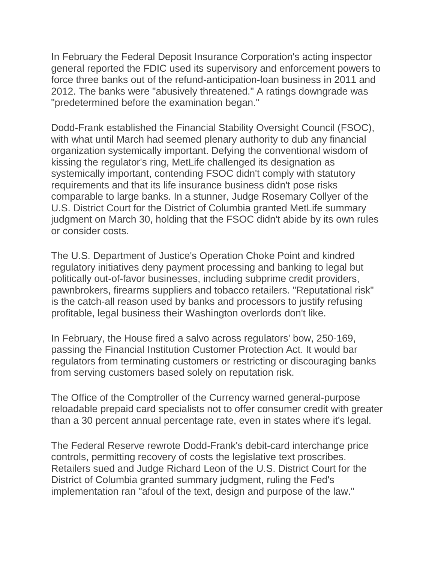In February the Federal Deposit Insurance Corporation's acting inspector general reported the FDIC used its supervisory and enforcement powers to force three banks out of the refund-anticipation-loan business in 2011 and 2012. The banks were "abusively threatened." A ratings downgrade was "predetermined before the examination began."

Dodd-Frank established the Financial Stability Oversight Council (FSOC), with what until March had seemed plenary authority to dub any financial organization systemically important. Defying the conventional wisdom of kissing the regulator's ring, MetLife challenged its designation as systemically important, contending FSOC didn't comply with statutory requirements and that its life insurance business didn't pose risks comparable to large banks. In a stunner, Judge Rosemary Collyer of the U.S. District Court for the District of Columbia granted MetLife summary judgment on March 30, holding that the FSOC didn't abide by its own rules or consider costs.

The U.S. Department of Justice's Operation Choke Point and kindred regulatory initiatives deny payment processing and banking to legal but politically out-of-favor businesses, including subprime credit providers, pawnbrokers, firearms suppliers and tobacco retailers. "Reputational risk" is the catch-all reason used by banks and processors to justify refusing profitable, legal business their Washington overlords don't like.

In February, the House fired a salvo across regulators' bow, 250-169, passing the Financial Institution Customer Protection Act. It would bar regulators from terminating customers or restricting or discouraging banks from serving customers based solely on reputation risk.

The Office of the Comptroller of the Currency warned general-purpose reloadable prepaid card specialists not to offer consumer credit with greater than a 30 percent annual percentage rate, even in states where it's legal.

The Federal Reserve rewrote Dodd-Frank's debit-card interchange price controls, permitting recovery of costs the legislative text proscribes. Retailers sued and Judge Richard Leon of the U.S. District Court for the District of Columbia granted summary judgment, ruling the Fed's implementation ran "afoul of the text, design and purpose of the law."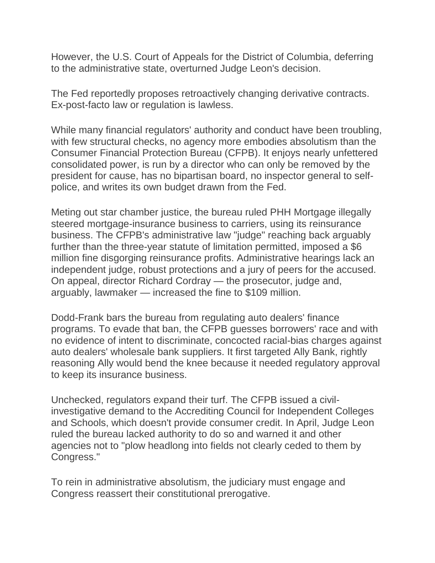However, the U.S. Court of Appeals for the District of Columbia, deferring to the administrative state, overturned Judge Leon's decision.

The Fed reportedly proposes retroactively changing derivative contracts. Ex-post-facto law or regulation is lawless.

While many financial regulators' authority and conduct have been troubling, with few structural checks, no agency more embodies absolutism than the Consumer Financial Protection Bureau (CFPB). It enjoys nearly unfettered consolidated power, is run by a director who can only be removed by the president for cause, has no bipartisan board, no inspector general to selfpolice, and writes its own budget drawn from the Fed.

Meting out star chamber justice, the bureau ruled PHH Mortgage illegally steered mortgage-insurance business to carriers, using its reinsurance business. The CFPB's administrative law "judge" reaching back arguably further than the three-year statute of limitation permitted, imposed a \$6 million fine disgorging reinsurance profits. Administrative hearings lack an independent judge, robust protections and a jury of peers for the accused. On appeal, director Richard Cordray — the prosecutor, judge and, arguably, lawmaker — increased the fine to \$109 million.

Dodd-Frank bars the bureau from regulating auto dealers' finance programs. To evade that ban, the CFPB guesses borrowers' race and with no evidence of intent to discriminate, concocted racial-bias charges against auto dealers' wholesale bank suppliers. It first targeted Ally Bank, rightly reasoning Ally would bend the knee because it needed regulatory approval to keep its insurance business.

Unchecked, regulators expand their turf. The CFPB issued a civilinvestigative demand to the Accrediting Council for Independent Colleges and Schools, which doesn't provide consumer credit. In April, Judge Leon ruled the bureau lacked authority to do so and warned it and other agencies not to "plow headlong into fields not clearly ceded to them by Congress."

To rein in administrative absolutism, the judiciary must engage and Congress reassert their constitutional prerogative.